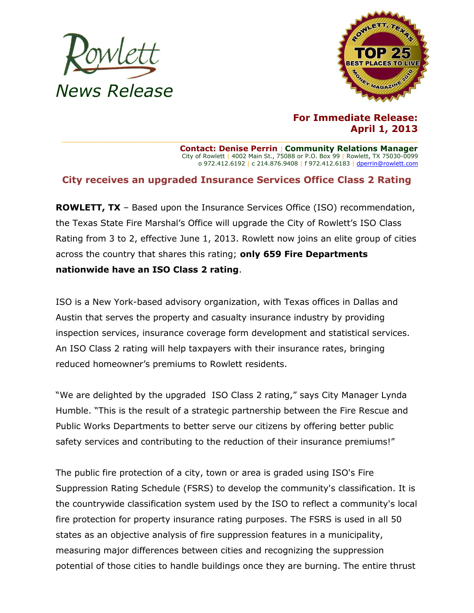



**For Immediate Release: April 1, 2013**

**Contact: Denise Perrin** | **Community Relations Manager** City of Rowlett | 4002 Main St., 75088 or P.O. Box 99 | Rowlett, TX 75030-0099 o 972.412.6192 | c 214.876.9408 | f 972.412.6183 [| dperrin@rowlett.com](mailto:dperrin@rowlett.com)

## **City receives an upgraded Insurance Services Office Class 2 Rating**

**ROWLETT, TX** – Based upon the Insurance Services Office (ISO) recommendation, the Texas State Fire Marshal's Office will upgrade the City of Rowlett's ISO Class Rating from 3 to 2, effective June 1, 2013. Rowlett now joins an elite group of cities across the country that shares this rating; **only 659 Fire Departments nationwide have an ISO Class 2 rating**.

ISO is a New York-based advisory organization, with Texas offices in Dallas and Austin that serves the property and casualty insurance industry by providing inspection services, insurance coverage form development and statistical services. An ISO Class 2 rating will help taxpayers with their insurance rates, bringing reduced homeowner's premiums to Rowlett residents.

"We are delighted by the upgraded ISO Class 2 rating," says City Manager Lynda Humble. "This is the result of a strategic partnership between the Fire Rescue and Public Works Departments to better serve our citizens by offering better public safety services and contributing to the reduction of their insurance premiums!"

The public fire protection of a city, town or area is graded using ISO's Fire Suppression Rating Schedule (FSRS) to develop the community's classification. It is the countrywide classification system used by the ISO to reflect a community's local fire protection for property insurance rating purposes. The FSRS is used in all 50 states as an objective analysis of fire suppression features in a municipality, measuring major differences between cities and recognizing the suppression potential of those cities to handle buildings once they are burning. The entire thrust